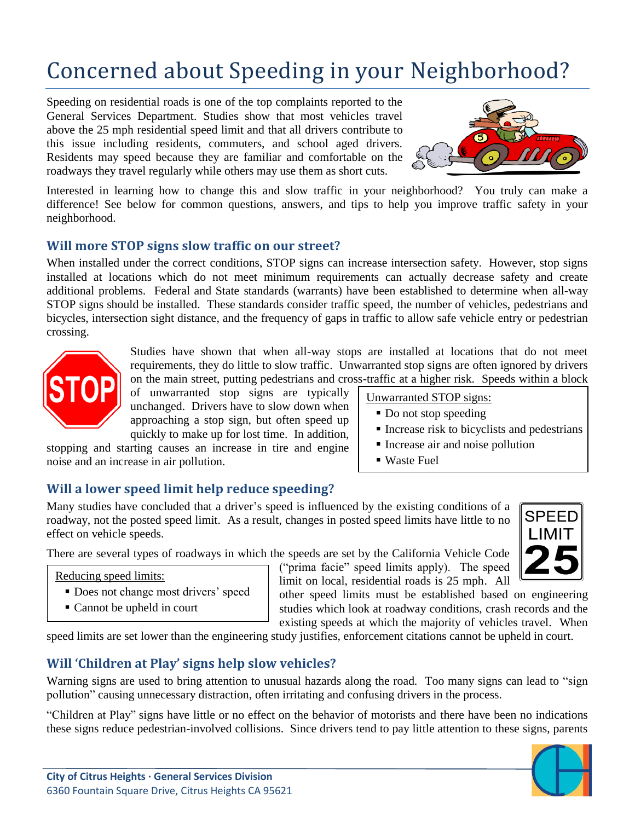# Concerned about Speeding in your Neighborhood?

Speeding on residential roads is one of the top complaints reported to the General Services Department. Studies show that most vehicles travel above the 25 mph residential speed limit and that all drivers contribute to this issue including residents, commuters, and school aged drivers. Residents may speed because they are familiar and comfortable on the roadways they travel regularly while others may use them as short cuts.



Interested in learning how to change this and slow traffic in your neighborhood? You truly can make a difference! See below for common questions, answers, and tips to help you improve traffic safety in your neighborhood.

#### **Will more STOP signs slow traffic on our street?**

When installed under the correct conditions, STOP signs can increase intersection safety. However, stop signs installed at locations which do not meet minimum requirements can actually decrease safety and create additional problems. Federal and State standards (warrants) have been established to determine when all-way STOP signs should be installed. These standards consider traffic speed, the number of vehicles, pedestrians and bicycles, intersection sight distance, and the frequency of gaps in traffic to allow safe vehicle entry or pedestrian crossing.



Studies have shown that when all-way stops are installed at locations that do not meet requirements, they do little to slow traffic. Unwarranted stop signs are often ignored by drivers on the main street, putting pedestrians and cross-traffic at a higher risk. Speeds within a block

of unwarranted stop signs are typically unchanged. Drivers have to slow down when approaching a stop sign, but often speed up quickly to make up for lost time. In addition,

stopping and starting causes an increase in tire and engine noise and an increase in air pollution.

- Unwarranted STOP signs:
	- Do not stop speeding
	- Increase risk to bicyclists and pedestrians
	- Increase air and noise pollution
	- Waste Fuel

#### **Will a lower speed limit help reduce speeding?**

Many studies have concluded that a driver's speed is influenced by the existing conditions of a roadway, not the posted speed limit. As a result, changes in posted speed limits have little to no effect on vehicle speeds.

There are several types of roadways in which the speeds are set by the California Vehicle Code

Reducing speed limits:

- Does not change most drivers' speed
- Cannot be upheld in court

("prima facie" speed limits apply). The speed limit on local, residential roads is 25 mph. All

**SPEED** LIMIT

other speed limits must be established based on engineering studies which look at roadway conditions, crash records and the existing speeds at which the majority of vehicles travel. When

speed limits are set lower than the engineering study justifies, enforcement citations cannot be upheld in court.

## **Will 'Children at Play' signs help slow vehicles?**

Warning signs are used to bring attention to unusual hazards along the road. Too many signs can lead to "sign pollution" causing unnecessary distraction, often irritating and confusing drivers in the process.

"Children at Play" signs have little or no effect on the behavior of motorists and there have been no indications these signs reduce pedestrian-involved collisions. Since drivers tend to pay little attention to these signs, parents